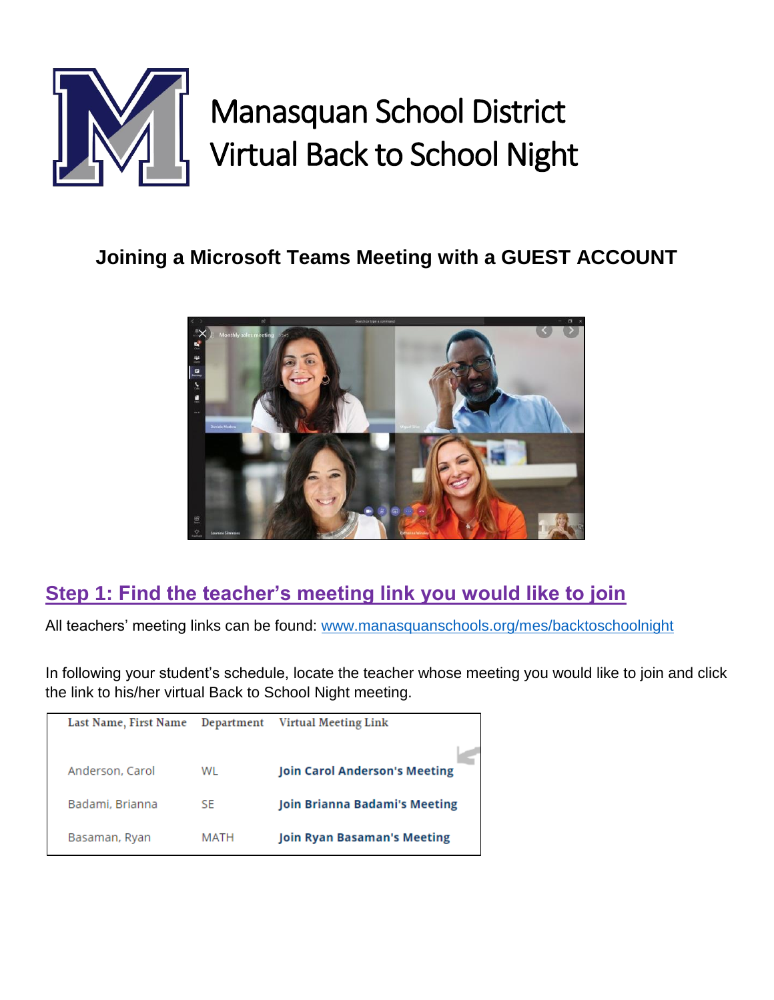

# **Joining a Microsoft Teams Meeting with a GUEST ACCOUNT**



## **Step 1: Find the teacher's meeting link you would like to join**

All teachers' meeting links can be found: [www.manasquanschools.org/mes/backtoschoolnight](http://www.manasquanschools.org/mes/backtoschoolnight)

In following your student's schedule, locate the teacher whose meeting you would like to join and click the link to his/her virtual Back to School Night meeting.

| Last Name, First Name | Department | Virtual Meeting Link                 |
|-----------------------|------------|--------------------------------------|
| Anderson, Carol       | WL         | <b>Join Carol Anderson's Meeting</b> |
| Badami, Brianna       | SF         | <b>Join Brianna Badami's Meeting</b> |
| Basaman, Ryan         | MATH       | <b>Join Ryan Basaman's Meeting</b>   |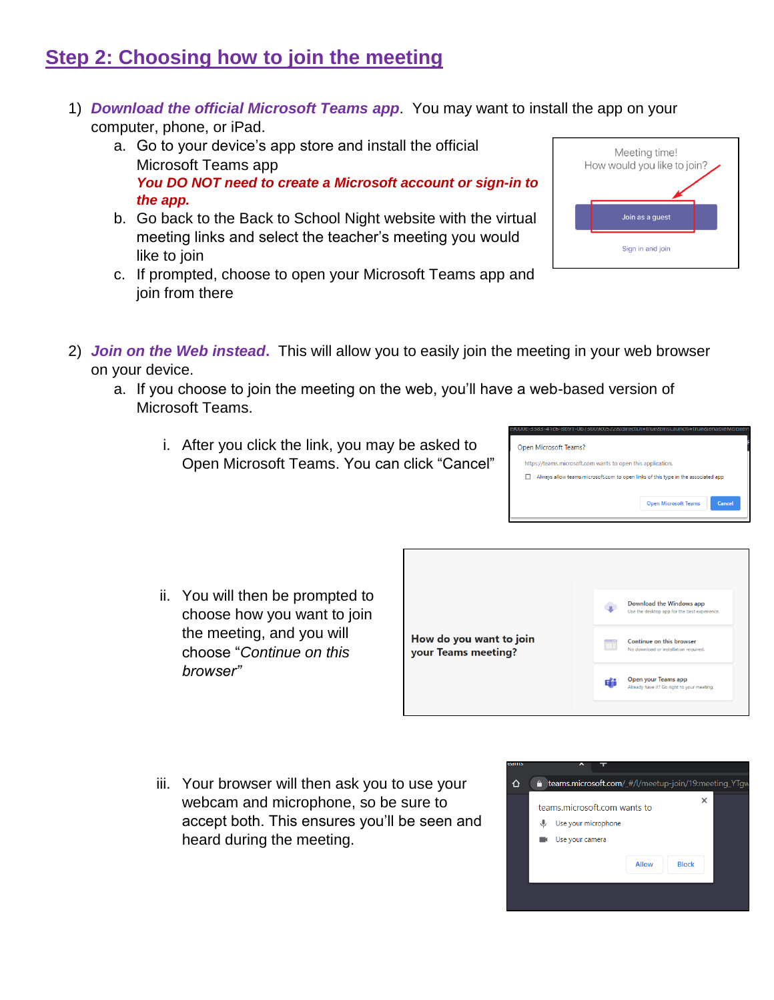## **Step 2: Choosing how to join the meeting**

- 1) *Download the official Microsoft Teams app*. You may want to install the app on your computer, phone, or iPad.
	- a. Go to your device's app store and install the official Microsoft Teams app *You DO NOT need to create a Microsoft account or sign-in to the app.*
	- b. Go back to the Back to School Night website with the virtual meeting links and select the teacher's meeting you would like to join
	- c. If prompted, choose to open your Microsoft Teams app and join from there



- 2) *Join on the Web instead***.** This will allow you to easily join the meeting in your web browser on your device.
	- a. If you choose to join the meeting on the web, you'll have a web-based version of Microsoft Teams.
		- i. After you click the link, you may be asked to Open Microsoft Teams. You can click "Cancel"

| e9000c-3383-41c6-8b91-0b/3009c0522&directDl=true&msLaunch=true&enableMobil<br>Open Microsoft Teams?                                               |                                       |  |  |  |
|---------------------------------------------------------------------------------------------------------------------------------------------------|---------------------------------------|--|--|--|
| https://teams.microsoft.com wants to open this application.<br>Always allow teams, microsoft.com to open links of this type in the associated app |                                       |  |  |  |
|                                                                                                                                                   | Cancel<br><b>Open Microsoft Teams</b> |  |  |  |

ii. You will then be prompted to choose how you want to join the meeting, and you will choose "*Continue on this browser"*



iii. Your browser will then ask you to use your webcam and microphone, so be sure to accept both. This ensures you'll be seen and heard during the meeting.